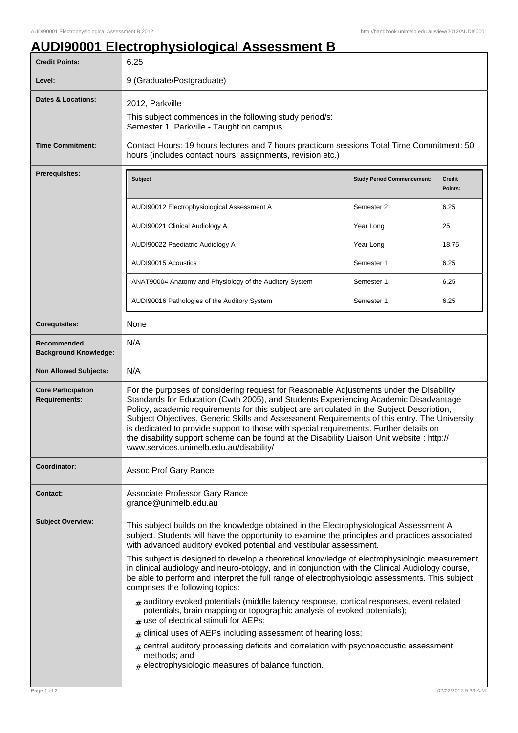## **AUDI90001 Electrophysiological Assessment B**

| <b>Credit Points:</b>                             | 6.25                                                                                                                                                                                                                                                                                                                                                                                                                                                                                                                                                                                                              |                                   |                          |
|---------------------------------------------------|-------------------------------------------------------------------------------------------------------------------------------------------------------------------------------------------------------------------------------------------------------------------------------------------------------------------------------------------------------------------------------------------------------------------------------------------------------------------------------------------------------------------------------------------------------------------------------------------------------------------|-----------------------------------|--------------------------|
| Level:                                            | 9 (Graduate/Postgraduate)                                                                                                                                                                                                                                                                                                                                                                                                                                                                                                                                                                                         |                                   |                          |
| <b>Dates &amp; Locations:</b>                     | 2012, Parkville<br>This subject commences in the following study period/s:<br>Semester 1, Parkville - Taught on campus.                                                                                                                                                                                                                                                                                                                                                                                                                                                                                           |                                   |                          |
| <b>Time Commitment:</b>                           | Contact Hours: 19 hours lectures and 7 hours practicum sessions Total Time Commitment: 50<br>hours (includes contact hours, assignments, revision etc.)                                                                                                                                                                                                                                                                                                                                                                                                                                                           |                                   |                          |
| Prerequisites:                                    | <b>Subject</b>                                                                                                                                                                                                                                                                                                                                                                                                                                                                                                                                                                                                    | <b>Study Period Commencement:</b> | <b>Credit</b><br>Points: |
|                                                   | AUDI90012 Electrophysiological Assessment A                                                                                                                                                                                                                                                                                                                                                                                                                                                                                                                                                                       | Semester 2                        | 6.25                     |
|                                                   | AUDI90021 Clinical Audiology A                                                                                                                                                                                                                                                                                                                                                                                                                                                                                                                                                                                    | Year Long                         | 25                       |
|                                                   | AUDI90022 Paediatric Audiology A                                                                                                                                                                                                                                                                                                                                                                                                                                                                                                                                                                                  | Year Long                         | 18.75                    |
|                                                   | AUDI90015 Acoustics                                                                                                                                                                                                                                                                                                                                                                                                                                                                                                                                                                                               | Semester 1                        | 6.25                     |
|                                                   | ANAT90004 Anatomy and Physiology of the Auditory System                                                                                                                                                                                                                                                                                                                                                                                                                                                                                                                                                           | Semester 1                        | 6.25                     |
|                                                   | AUDI90016 Pathologies of the Auditory System                                                                                                                                                                                                                                                                                                                                                                                                                                                                                                                                                                      | Semester 1                        | 6.25                     |
| <b>Corequisites:</b>                              | None                                                                                                                                                                                                                                                                                                                                                                                                                                                                                                                                                                                                              |                                   |                          |
| Recommended<br><b>Background Knowledge:</b>       | N/A                                                                                                                                                                                                                                                                                                                                                                                                                                                                                                                                                                                                               |                                   |                          |
| <b>Non Allowed Subjects:</b>                      | N/A                                                                                                                                                                                                                                                                                                                                                                                                                                                                                                                                                                                                               |                                   |                          |
| <b>Core Participation</b><br><b>Requirements:</b> | For the purposes of considering request for Reasonable Adjustments under the Disability<br>Standards for Education (Cwth 2005), and Students Experiencing Academic Disadvantage<br>Policy, academic requirements for this subject are articulated in the Subject Description,<br>Subject Objectives, Generic Skills and Assessment Requirements of this entry. The University<br>is dedicated to provide support to those with special requirements. Further details on<br>the disability support scheme can be found at the Disability Liaison Unit website : http://<br>www.services.unimelb.edu.au/disability/ |                                   |                          |
| Coordinator:                                      | Assoc Prof Gary Rance                                                                                                                                                                                                                                                                                                                                                                                                                                                                                                                                                                                             |                                   |                          |
| <b>Contact:</b>                                   | Associate Professor Gary Rance<br>grance@unimelb.edu.au                                                                                                                                                                                                                                                                                                                                                                                                                                                                                                                                                           |                                   |                          |
| <b>Subject Overview:</b>                          | This subject builds on the knowledge obtained in the Electrophysiological Assessment A<br>subject. Students will have the opportunity to examine the principles and practices associated<br>with advanced auditory evoked potential and vestibular assessment.                                                                                                                                                                                                                                                                                                                                                    |                                   |                          |
|                                                   | This subject is designed to develop a theoretical knowledge of electrophysiologic measurement<br>in clinical audiology and neuro-otology, and in conjunction with the Clinical Audiology course,<br>be able to perform and interpret the full range of electrophysiologic assessments. This subject<br>comprises the following topics:                                                                                                                                                                                                                                                                            |                                   |                          |
|                                                   | $#$ auditory evoked potentials (middle latency response, cortical responses, event related<br>potentials, brain mapping or topographic analysis of evoked potentials);<br>$#$ use of electrical stimuli for AEPs;                                                                                                                                                                                                                                                                                                                                                                                                 |                                   |                          |
|                                                   | clinical uses of AEPs including assessment of hearing loss;<br>#                                                                                                                                                                                                                                                                                                                                                                                                                                                                                                                                                  |                                   |                          |
|                                                   | $*$ central auditory processing deficits and correlation with psychoacoustic assessment<br>methods; and<br>$#$ electrophysiologic measures of balance function.                                                                                                                                                                                                                                                                                                                                                                                                                                                   |                                   |                          |
| Page 1 of 2                                       |                                                                                                                                                                                                                                                                                                                                                                                                                                                                                                                                                                                                                   |                                   | 02/02/2017 9:33 A.M      |